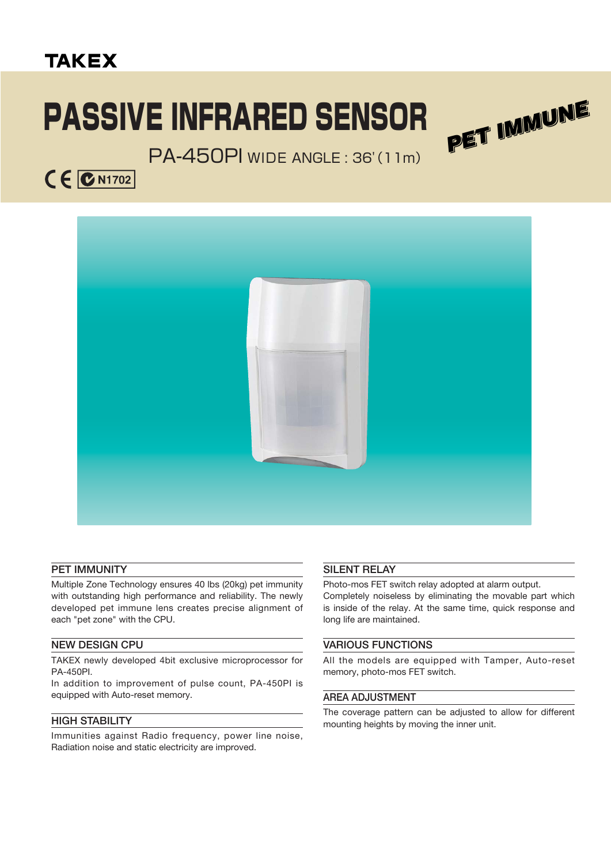## **TAKEX**

# PASSIVE INFRARED SENSOR



### PA-450PI WIDE ANGLE : 36'(11m)





#### **PET IMMUNITY**

Multiple Zone Technology ensures 40 lbs (20kg) pet immunity with outstanding high performance and reliability. The newly developed pet immune lens creates precise alignment of each "pet zone" with the CPU.

#### **NEW DESIGN CPU**

TAKEX newly developed 4bit exclusive microprocessor for PA-450PI.

In addition to improvement of pulse count, PA-450PI is equipped with Auto-reset memory.

#### **HIGH STABILITY**

Immunities against Radio frequency, power line noise, Radiation noise and static electricity are improved.

#### **SILENT RELAY**

Photo-mos FET switch relay adopted at alarm output. Completely noiseless by eliminating the movable part which is inside of the relay. At the same time, quick response and long life are maintained.

#### **VARIOUS FUNCTIONS**

All the models are equipped with Tamper, Auto-reset memory, photo-mos FET switch.

#### **AREA ADJUSTMENT**

The coverage pattern can be adjusted to allow for different mounting heights by moving the inner unit.